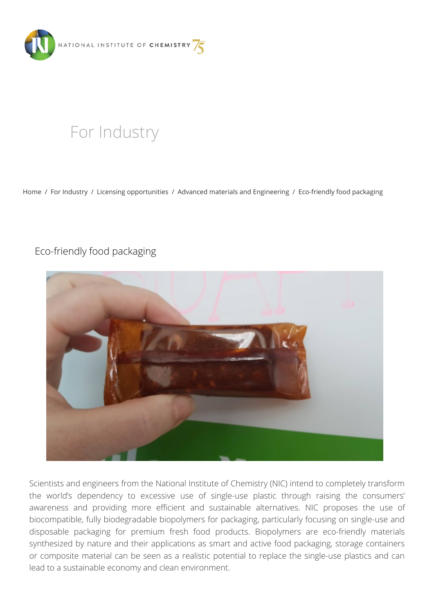

# [For Industry](https://www.ki.si/en/for-industry/)

[Home](https://www.ki.si/en/) / [For Industry](https://www.ki.si/en/for-industry/) / [Licensing opportunities](https://www.ki.si/en/for-industry/licensing-opportunities/) / [Advanced materials and Engineering](https://www.ki.si/en/for-industry/licensing-opportunities/advanced-materials-and-engineering/) / [Eco-friendly food packaging](https://www.ki.si/en/for-industry/licensing-opportunities/advanced-materials-and-engineering/eco-friendly-food-packaging/)

# Eco-friendly food packaging



Scientists and engineers from the National Institute of Chemistry (NIC) intend to completely transform the world's dependency to excessive use of single-use plastic through raising the consumers' awareness and providing more efficient and sustainable alternatives. NIC proposes the use of biocompatible, fully biodegradable biopolymers for packaging, particularly focusing on single-use and disposable packaging for premium fresh food products. Biopolymers are eco-friendly materials synthesized by nature and their applications as smart and active food packaging, storage containers or composite material can be seen as a realistic potential to replace the single-use plastics and can lead to a sustainable economy and clean environment.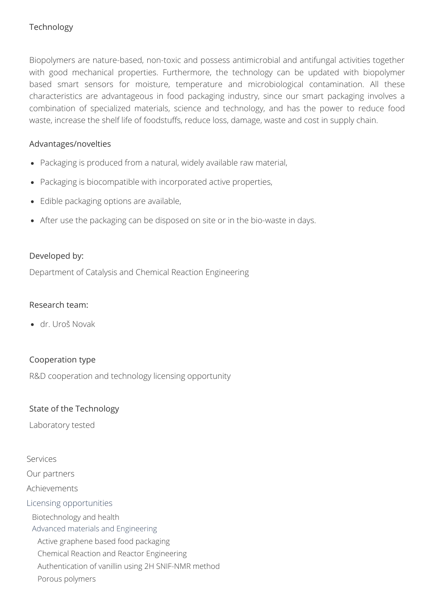# Technology

Biopolymers are nature-based, non-toxic and possess antimicrobial and antifungal activities together with good mechanical properties. Furthermore, the technology can be updated with biopolymer based smart sensors for moisture, temperature and microbiological contamination. All these characteristics are advantageous in food packaging industry, since our smart packaging involves a combination of specialized materials, science and technology, and has the power to reduce food waste, increase the shelf life of foodstuffs, reduce loss, damage, waste and cost in supply chain.

#### Advantages/novelties

- Packaging is produced from a natural, widely available raw material,
- Packaging is biocompatible with incorporated active properties,
- Edible packaging options are available,
- After use the packaging can be disposed on site or in the bio-waste in days.

#### Developed by:

Department of Catalysis and Chemical Reaction Engineering

#### Research team:

dr. Uroš Novak

# Cooperation type

R&D cooperation and technology licensing opportunity

# State of the Technology

Laboratory tested

# [Services](https://www.ki.si/en/for-industry/services/)

[Our partners](https://www.ki.si/en/for-industry/our-partners/)

[Achievements](https://www.ki.si/en/for-industry/achievements/)

#### [Licensing opportunities](https://www.ki.si/en/for-industry/licensing-opportunities/)

[Biotechnology and health](https://www.ki.si/en/for-industry/licensing-opportunities/biotechnology-and-health/)

[Advanced materials and Engineering](https://www.ki.si/en/for-industry/licensing-opportunities/advanced-materials-and-engineering/)

[Active graphene based food packaging](https://www.ki.si/en/for-industry/licensing-opportunities/advanced-materials-and-engineering/active-graphene-based-food-packaging/)

[Chemical Reaction and Reactor Engineering](https://www.ki.si/en/for-industry/licensing-opportunities/advanced-materials-and-engineering/chemical-reaction-and-reactor-engineering/)

- [Authentication of vanillin using 2H SNIF-NMR method](https://www.ki.si/en/for-industry/licensing-opportunities/advanced-materials-and-engineering/authentication-of-vanillin-using-2h-snif-nmr-method/)
- [Porous polymers](https://www.ki.si/en/for-industry/licensing-opportunities/advanced-materials-and-engineering/porous-polymers/)